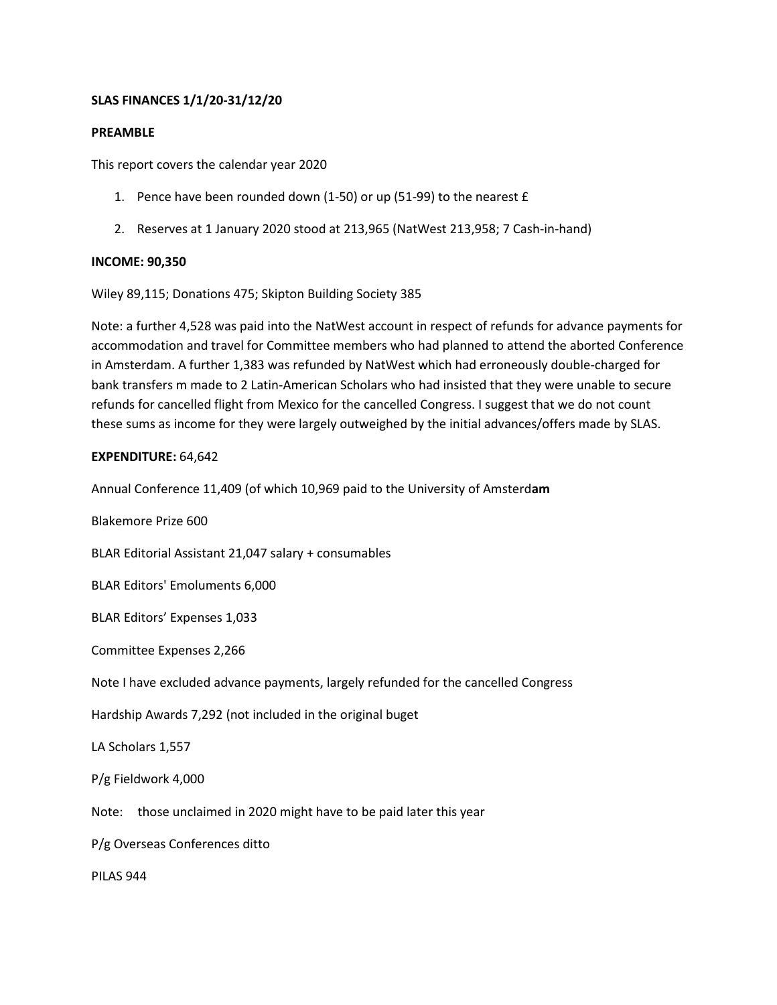# **SLAS FINANCES 1/1/20-31/12/20**

# **PREAMBLE**

This report covers the calendar year 2020

- 1. Pence have been rounded down (1-50) or up (51-99) to the nearest £
- 2. Reserves at 1 January 2020 stood at 213,965 (NatWest 213,958; 7 Cash-in-hand)

#### **INCOME: 90,350**

Wiley 89,115; Donations 475; Skipton Building Society 385

Note: a further 4,528 was paid into the NatWest account in respect of refunds for advance payments for accommodation and travel for Committee members who had planned to attend the aborted Conference in Amsterdam. A further 1,383 was refunded by NatWest which had erroneously double-charged for bank transfers m made to 2 Latin-American Scholars who had insisted that they were unable to secure refunds for cancelled flight from Mexico for the cancelled Congress. I suggest that we do not count these sums as income for they were largely outweighed by the initial advances/offers made by SLAS.

#### **EXPENDITURE:** 64,642

Annual Conference 11,409 (of which 10,969 paid to the University of Amsterd**am**

Blakemore Prize 600

BLAR Editorial Assistant 21,047 salary + consumables

BLAR Editors' Emoluments 6,000

BLAR Editors' Expenses 1,033

Committee Expenses 2,266

Note I have excluded advance payments, largely refunded for the cancelled Congress

Hardship Awards 7,292 (not included in the original buget

LA Scholars 1,557

P/g Fieldwork 4,000

Note: those unclaimed in 2020 might have to be paid later this year

P/g Overseas Conferences ditto

PILAS 944